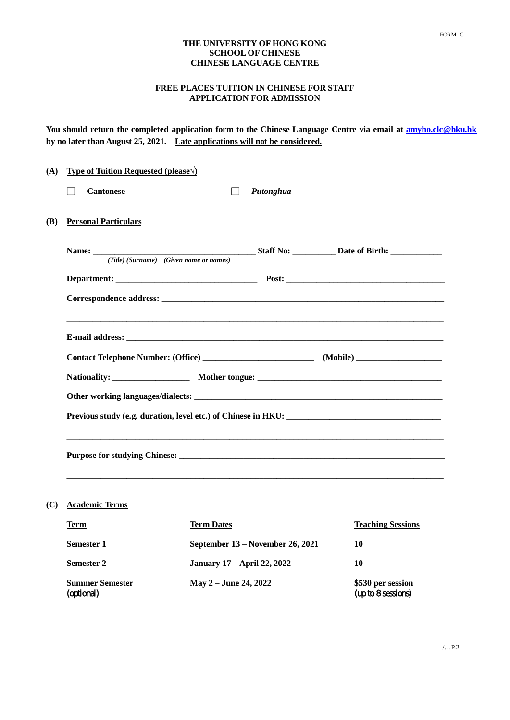## **THE UNIVERSITY OF HONG KONG SCHOOL OF CHINESE CHINESE LANGUAGE CENTRE**

## **FREE PLACES TUITION IN CHINESE FOR STAFF APPLICATION FOR ADMISSION**

**You should return the completed application form to the Chinese Language Centre via email at amyho.clc@hku.hk by no later than August 25, 2021. Late applications will not be considered.**

| (A) |  | <b>Type of Tuition Requested (please <math>\Diamond</math>)</b> |  |           |  |  |
|-----|--|-----------------------------------------------------------------|--|-----------|--|--|
|     |  | <b>Cantonese</b>                                                |  | Putonghua |  |  |
| (B) |  | <b>Personal Particulars</b>                                     |  |           |  |  |
|     |  |                                                                 |  |           |  |  |
|     |  |                                                                 |  |           |  |  |
|     |  |                                                                 |  |           |  |  |
|     |  |                                                                 |  |           |  |  |
|     |  |                                                                 |  |           |  |  |
|     |  |                                                                 |  |           |  |  |
|     |  |                                                                 |  |           |  |  |
|     |  |                                                                 |  |           |  |  |
|     |  |                                                                 |  |           |  |  |
|     |  |                                                                 |  |           |  |  |
|     |  |                                                                 |  |           |  |  |
|     |  |                                                                 |  |           |  |  |

# **(C) Academic Terms**

| <b>Term</b>                          | <b>Term Dates</b>                  | <b>Teaching Sessions</b>                |
|--------------------------------------|------------------------------------|-----------------------------------------|
| <b>Semester 1</b>                    | September 13 – November 26, 2021   | 10                                      |
| <b>Semester 2</b>                    | <b>January 17 – April 22, 2022</b> | 10                                      |
| <b>Summer Semester</b><br>(optional) | May 2 – June 24, 2022              | \$530 per session<br>(up to 8 sessions) |